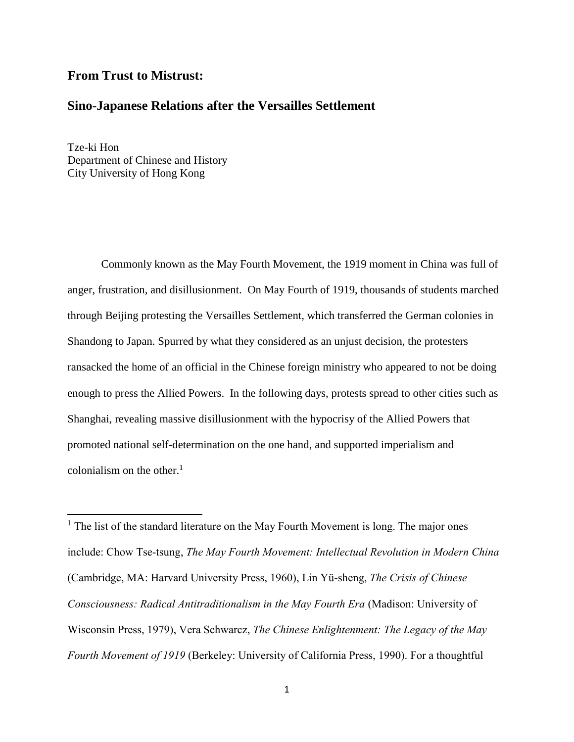# **From Trust to Mistrust:**

# **Sino-Japanese Relations after the Versailles Settlement**

Tze-ki Hon Department of Chinese and History City University of Hong Kong

 $\overline{\phantom{a}}$ 

Commonly known as the May Fourth Movement, the 1919 moment in China was full of anger, frustration, and disillusionment. On May Fourth of 1919, thousands of students marched through Beijing protesting the Versailles Settlement, which transferred the German colonies in Shandong to Japan. Spurred by what they considered as an unjust decision, the protesters ransacked the home of an official in the Chinese foreign ministry who appeared to not be doing enough to press the Allied Powers. In the following days, protests spread to other cities such as Shanghai, revealing massive disillusionment with the hypocrisy of the Allied Powers that promoted national self-determination on the one hand, and supported imperialism and colonialism on the other. $<sup>1</sup>$ </sup>

 $<sup>1</sup>$  The list of the standard literature on the May Fourth Movement is long. The major ones</sup> include: Chow Tse-tsung, *The May Fourth Movement: Intellectual Revolution in Modern China*  (Cambridge, MA: Harvard University Press, 1960), Lin Yü-sheng, *The Crisis of Chinese Consciousness: Radical Antitraditionalism in the May Fourth Era* (Madison: University of Wisconsin Press, 1979), Vera Schwarcz, *The Chinese Enlightenment: The Legacy of the May Fourth Movement of 1919* (Berkeley: University of California Press, 1990). For a thoughtful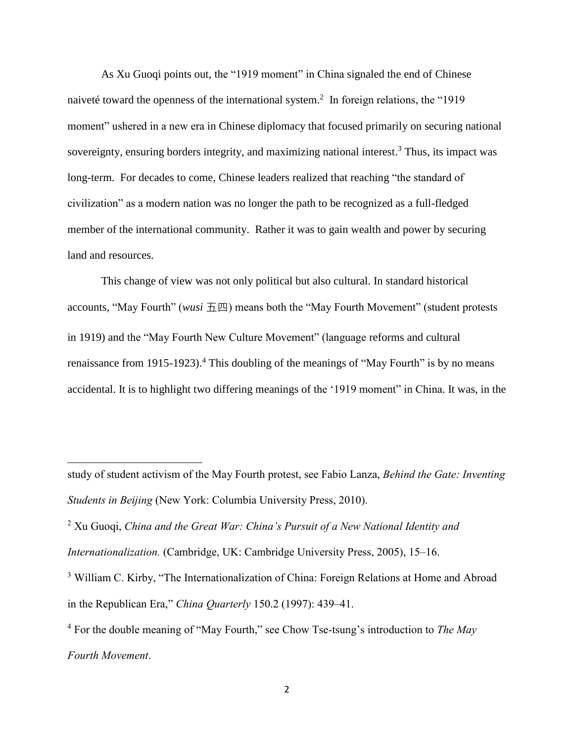As Xu Guoqi points out, the "1919 moment" in China signaled the end of Chinese naiveté toward the openness of the international system. 2 In foreign relations, the "1919 moment" ushered in a new era in Chinese diplomacy that focused primarily on securing national sovereignty, ensuring borders integrity, and maximizing national interest.<sup>3</sup> Thus, its impact was long-term. For decades to come, Chinese leaders realized that reaching "the standard of civilization" as a modern nation was no longer the path to be recognized as a full-fledged member of the international community. Rather it was to gain wealth and power by securing land and resources.

This change of view was not only political but also cultural. In standard historical accounts, "May Fourth" (*wusi* 五四) means both the "May Fourth Movement" (student protests in 1919) and the "May Fourth New Culture Movement" (language reforms and cultural renaissance from 1915-1923).<sup>4</sup> This doubling of the meanings of "May Fourth" is by no means accidental. It is to highlight two differing meanings of the '1919 moment" in China. It was, in the

study of student activism of the May Fourth protest, see Fabio Lanza, *Behind the Gate: Inventing Students in Beijing* (New York: Columbia University Press, 2010).

<sup>2</sup> Xu Guoqi, *China and the Great War: China's Pursuit of a New National Identity and* 

*Internationalization.* (Cambridge, UK: Cambridge University Press, 2005), 15–16.

<sup>&</sup>lt;sup>3</sup> William C. Kirby, "The Internationalization of China: Foreign Relations at Home and Abroad in the Republican Era," *China Quarterly* 150.2 (1997): 439–41.

<sup>4</sup> For the double meaning of "May Fourth," see Chow Tse-tsung's introduction to *The May Fourth Movement*.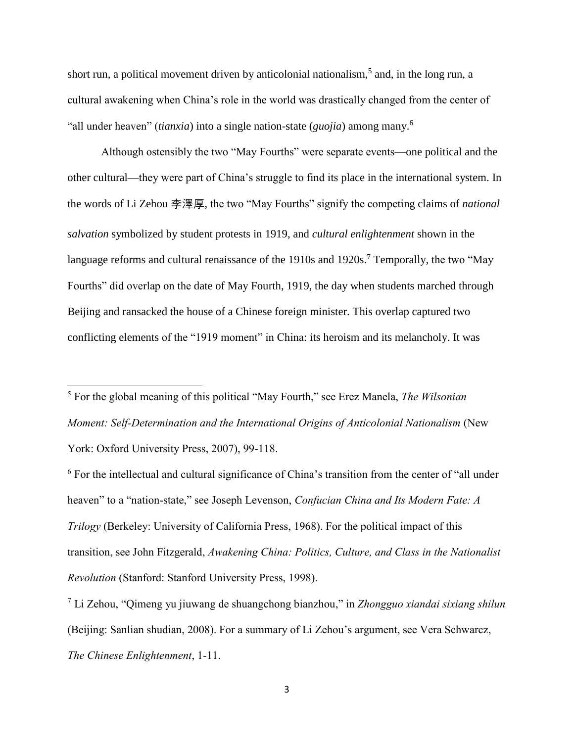short run, a political movement driven by anticolonial nationalism,<sup>5</sup> and, in the long run, a cultural awakening when China's role in the world was drastically changed from the center of "all under heaven" (*tianxia*) into a single nation-state (*guojia*) among many. 6

Although ostensibly the two "May Fourths" were separate events—one political and the other cultural—they were part of China's struggle to find its place in the international system. In the words of Li Zehou 李澤厚, the two "May Fourths" signify the competing claims of *national salvation* symbolized by student protests in 1919, and *cultural enlightenment* shown in the language reforms and cultural renaissance of the 1910s and 1920s.<sup>7</sup> Temporally, the two "May Fourths" did overlap on the date of May Fourth, 1919, the day when students marched through Beijing and ransacked the house of a Chinese foreign minister. This overlap captured two conflicting elements of the "1919 moment" in China: its heroism and its melancholy. It was

<sup>5</sup> For the global meaning of this political "May Fourth," see Erez Manela, *The Wilsonian Moment: Self-Determination and the International Origins of Anticolonial Nationalism* (New York: Oxford University Press, 2007), 99-118.

 $\overline{\phantom{a}}$ 

<sup>6</sup> For the intellectual and cultural significance of China's transition from the center of "all under heaven" to a "nation-state," see Joseph Levenson, *Confucian China and Its Modern Fate: A Trilogy* (Berkeley: University of California Press, 1968). For the political impact of this transition, see John Fitzgerald, *Awakening China: Politics, Culture, and Class in the Nationalist Revolution* (Stanford: Stanford University Press, 1998).

<sup>7</sup> Li Zehou, "Qimeng yu jiuwang de shuangchong bianzhou," in *Zhongguo xiandai sixiang shilun* (Beijing: Sanlian shudian, 2008). For a summary of Li Zehou's argument, see Vera Schwarcz, *The Chinese Enlightenment*, 1-11.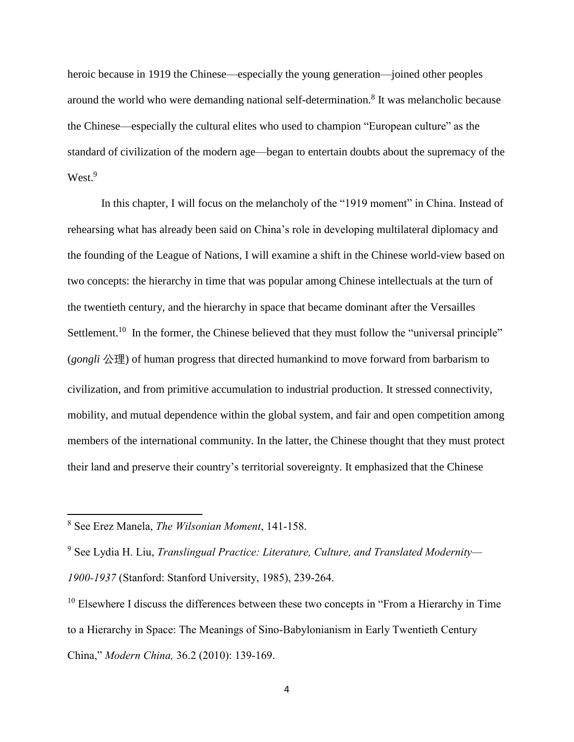heroic because in 1919 the Chinese—especially the young generation—joined other peoples around the world who were demanding national self-determination. 8 It was melancholic because the Chinese—especially the cultural elites who used to champion "European culture" as the standard of civilization of the modern age—began to entertain doubts about the supremacy of the West.<sup>9</sup>

In this chapter, I will focus on the melancholy of the "1919 moment" in China. Instead of rehearsing what has already been said on China's role in developing multilateral diplomacy and the founding of the League of Nations, I will examine a shift in the Chinese world-view based on two concepts: the hierarchy in time that was popular among Chinese intellectuals at the turn of the twentieth century, and the hierarchy in space that became dominant after the Versailles Settlement.<sup>10</sup> In the former, the Chinese believed that they must follow the "universal principle" (*gongli* 公理) of human progress that directed humankind to move forward from barbarism to civilization, and from primitive accumulation to industrial production. It stressed connectivity, mobility, and mutual dependence within the global system, and fair and open competition among members of the international community. In the latter, the Chinese thought that they must protect their land and preserve their country's territorial sovereignty. It emphasized that the Chinese

<sup>8</sup> See Erez Manela, *The Wilsonian Moment*, 141-158.

<sup>9</sup> See Lydia H. Liu, *Translingual Practice: Literature, Culture, and Translated Modernity—*

*<sup>1900-1937</sup>* (Stanford: Stanford University, 1985), 239-264.

<sup>&</sup>lt;sup>10</sup> Elsewhere I discuss the differences between these two concepts in "From a Hierarchy in Time" to a Hierarchy in Space: The Meanings of Sino-Babylonianism in Early Twentieth Century China," *Modern China,* 36.2 (2010): 139-169.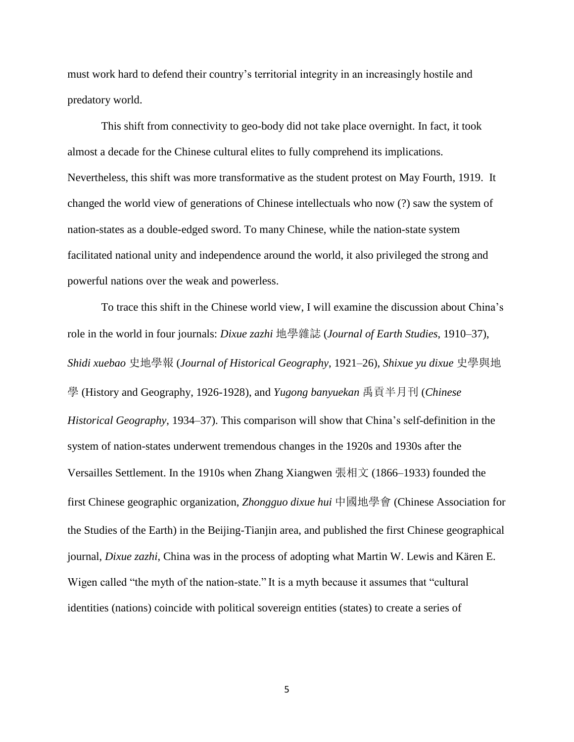must work hard to defend their country's territorial integrity in an increasingly hostile and predatory world.

This shift from connectivity to geo-body did not take place overnight. In fact, it took almost a decade for the Chinese cultural elites to fully comprehend its implications. Nevertheless, this shift was more transformative as the student protest on May Fourth, 1919. It changed the world view of generations of Chinese intellectuals who now (?) saw the system of nation-states as a double-edged sword. To many Chinese, while the nation-state system facilitated national unity and independence around the world, it also privileged the strong and powerful nations over the weak and powerless.

To trace this shift in the Chinese world view, I will examine the discussion about China's role in the world in four journals: *Dixue zazhi* 地學雜誌 (*Journal of Earth Studies*, 1910–37), *Shidi xuebao* 史地學報 (*Journal of Historical Geography*, 1921–26), *Shixue yu dixue* 史學與地 學 (History and Geography, 1926-1928), and *Yugong banyuekan* 禹貢半月刊 (*Chinese Historical Geography*, 1934–37). This comparison will show that China's self-definition in the system of nation-states underwent tremendous changes in the 1920s and 1930s after the Versailles Settlement. In the 1910s when Zhang Xiangwen 張相文 (1866–1933) founded the first Chinese geographic organization, *Zhongguo dixue hui* 中國地學會 (Chinese Association for the Studies of the Earth) in the Beijing-Tianjin area, and published the first Chinese geographical journal, *Dixue zazhi*, China was in the process of adopting what Martin W. Lewis and Kären E. Wigen called "the myth of the nation-state." It is a myth because it assumes that "cultural identities (nations) coincide with political sovereign entities (states) to create a series of

5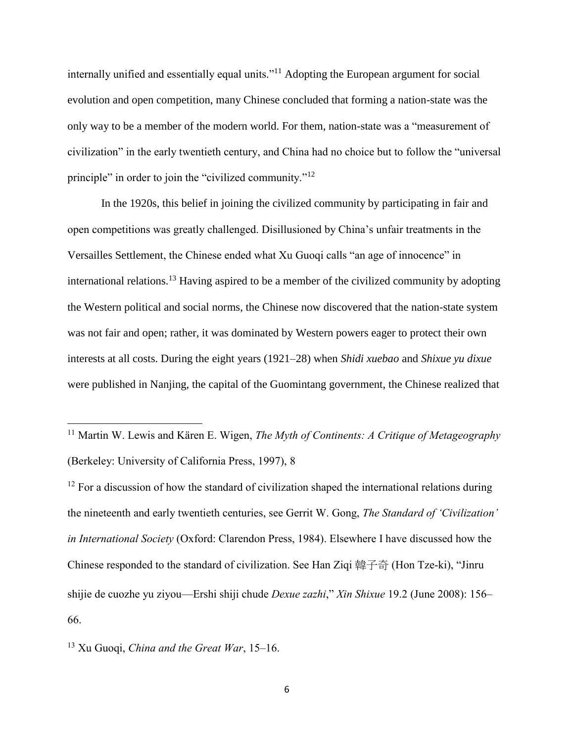internally unified and essentially equal units."<sup>11</sup> Adopting the European argument for social evolution and open competition, many Chinese concluded that forming a nation-state was the only way to be a member of the modern world. For them, nation-state was a "measurement of civilization" in the early twentieth century, and China had no choice but to follow the "universal principle" in order to join the "civilized community."<sup>12</sup>

In the 1920s, this belief in joining the civilized community by participating in fair and open competitions was greatly challenged. Disillusioned by China's unfair treatments in the Versailles Settlement, the Chinese ended what Xu Guoqi calls "an age of innocence" in international relations.<sup>13</sup> Having aspired to be a member of the civilized community by adopting the Western political and social norms, the Chinese now discovered that the nation-state system was not fair and open; rather, it was dominated by Western powers eager to protect their own interests at all costs. During the eight years (1921–28) when *Shidi xuebao* and *Shixue yu dixue*  were published in Nanjing, the capital of the Guomintang government, the Chinese realized that

<sup>11</sup> Martin W. Lewis and Kären E. Wigen, *The Myth of Continents: A Critique of Metageography* (Berkeley: University of California Press, 1997), 8

 $12$  For a discussion of how the standard of civilization shaped the international relations during the nineteenth and early twentieth centuries, see Gerrit W. Gong, *The Standard of 'Civilization' in International Society* (Oxford: Clarendon Press, 1984). Elsewhere I have discussed how the Chinese responded to the standard of civilization. See Han Ziqi 韓子奇 (Hon Tze-ki), "Jinru shijie de cuozhe yu ziyou—Ershi shiji chude *Dexue zazhi*," *Xin Shixue* 19.2 (June 2008): 156– 66.

<sup>13</sup> Xu Guoqi, *China and the Great War*, 15–16.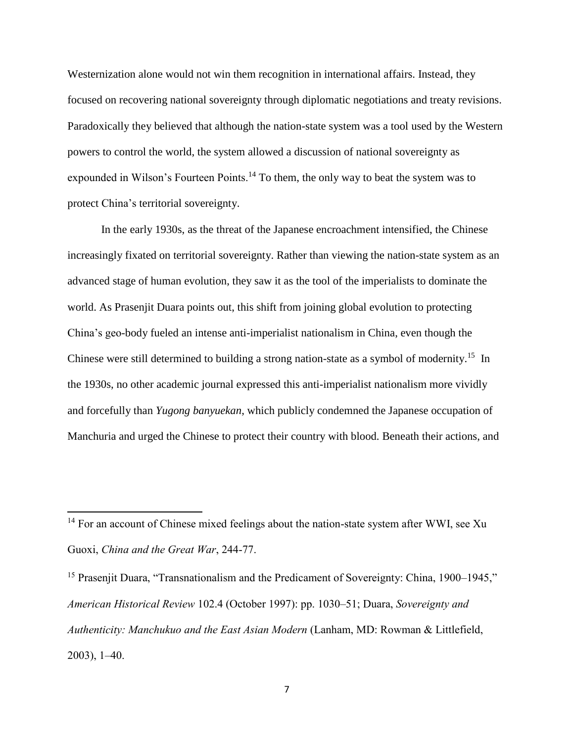Westernization alone would not win them recognition in international affairs. Instead, they focused on recovering national sovereignty through diplomatic negotiations and treaty revisions. Paradoxically they believed that although the nation-state system was a tool used by the Western powers to control the world, the system allowed a discussion of national sovereignty as expounded in Wilson's Fourteen Points.<sup>14</sup> To them, the only way to beat the system was to protect China's territorial sovereignty.

In the early 1930s, as the threat of the Japanese encroachment intensified, the Chinese increasingly fixated on territorial sovereignty. Rather than viewing the nation-state system as an advanced stage of human evolution, they saw it as the tool of the imperialists to dominate the world. As Prasenjit Duara points out, this shift from joining global evolution to protecting China's geo-body fueled an intense anti-imperialist nationalism in China, even though the Chinese were still determined to building a strong nation-state as a symbol of modernity.<sup>15</sup> In the 1930s, no other academic journal expressed this anti-imperialist nationalism more vividly and forcefully than *Yugong banyuekan*, which publicly condemned the Japanese occupation of Manchuria and urged the Chinese to protect their country with blood. Beneath their actions, and

 $\overline{a}$ 

 $14$  For an account of Chinese mixed feelings about the nation-state system after WWI, see Xu Guoxi, *China and the Great War*, 244-77.

<sup>&</sup>lt;sup>15</sup> Prasenjit Duara, "Transnationalism and the Predicament of Sovereignty: China, 1900–1945," *American Historical Review* 102.4 (October 1997): pp. 1030–51; Duara, *Sovereignty and Authenticity: Manchukuo and the East Asian Modern* (Lanham, MD: Rowman & Littlefield, 2003), 1–40.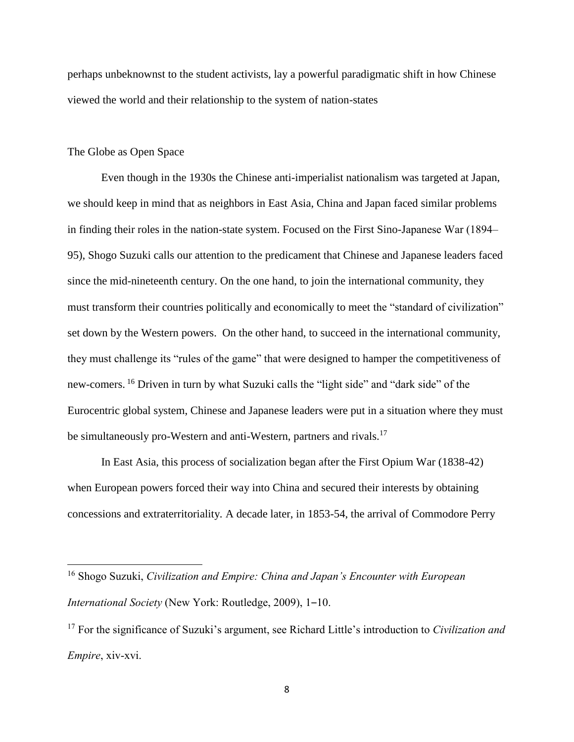perhaps unbeknownst to the student activists, lay a powerful paradigmatic shift in how Chinese viewed the world and their relationship to the system of nation-states

### The Globe as Open Space

 $\overline{\phantom{a}}$ 

Even though in the 1930s the Chinese anti-imperialist nationalism was targeted at Japan, we should keep in mind that as neighbors in East Asia, China and Japan faced similar problems in finding their roles in the nation-state system. Focused on the First Sino-Japanese War (1894– 95), Shogo Suzuki calls our attention to the predicament that Chinese and Japanese leaders faced since the mid-nineteenth century. On the one hand, to join the international community, they must transform their countries politically and economically to meet the "standard of civilization" set down by the Western powers. On the other hand, to succeed in the international community, they must challenge its "rules of the game" that were designed to hamper the competitiveness of new-comers. <sup>16</sup> Driven in turn by what Suzuki calls the "light side" and "dark side" of the Eurocentric global system, Chinese and Japanese leaders were put in a situation where they must be simultaneously pro-Western and anti-Western, partners and rivals.<sup>17</sup>

In East Asia, this process of socialization began after the First Opium War (1838-42) when European powers forced their way into China and secured their interests by obtaining concessions and extraterritoriality. A decade later, in 1853-54, the arrival of Commodore Perry

<sup>16</sup> Shogo Suzuki, *Civilization and Empire: China and Japan's Encounter with European International Society* (New York: Routledge, 2009), 1-10.

<sup>17</sup> For the significance of Suzuki's argument, see Richard Little's introduction to *Civilization and Empire*, xiv-xvi.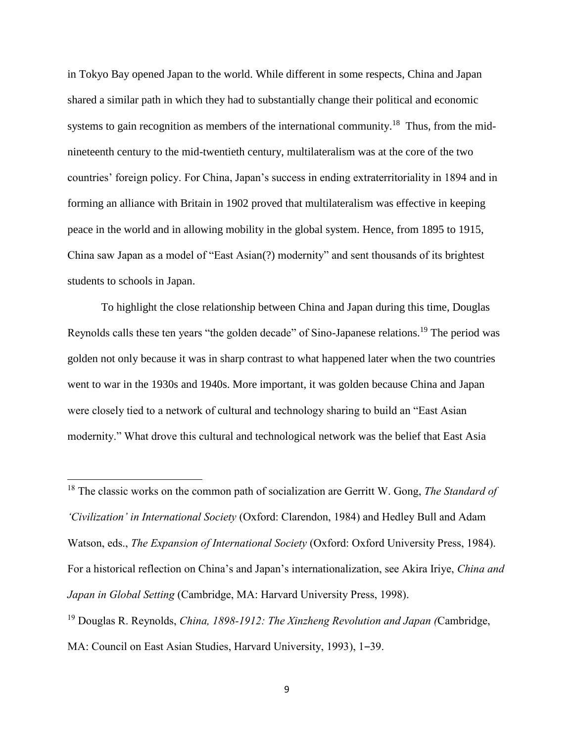in Tokyo Bay opened Japan to the world. While different in some respects, China and Japan shared a similar path in which they had to substantially change their political and economic systems to gain recognition as members of the international community.<sup>18</sup> Thus, from the midnineteenth century to the mid-twentieth century, multilateralism was at the core of the two countries' foreign policy. For China, Japan's success in ending extraterritoriality in 1894 and in forming an alliance with Britain in 1902 proved that multilateralism was effective in keeping peace in the world and in allowing mobility in the global system. Hence, from 1895 to 1915, China saw Japan as a model of "East Asian(?) modernity" and sent thousands of its brightest students to schools in Japan.

To highlight the close relationship between China and Japan during this time, Douglas Reynolds calls these ten years "the golden decade" of Sino-Japanese relations.<sup>19</sup> The period was golden not only because it was in sharp contrast to what happened later when the two countries went to war in the 1930s and 1940s. More important, it was golden because China and Japan were closely tied to a network of cultural and technology sharing to build an "East Asian modernity." What drove this cultural and technological network was the belief that East Asia

<sup>18</sup> The classic works on the common path of socialization are Gerritt W. Gong, *The Standard of 'Civilization' in International Society* (Oxford: Clarendon, 1984) and Hedley Bull and Adam Watson, eds., *The Expansion of International Society* (Oxford: Oxford University Press, 1984). For a historical reflection on China's and Japan's internationalization, see Akira Iriye, *China and Japan in Global Setting* (Cambridge, MA: Harvard University Press, 1998). <sup>19</sup> Douglas R. Reynolds, *China, 1898-1912: The Xinzheng Revolution and Japan (*Cambridge,

l

MA: Council on East Asian Studies, Harvard University, 1993), 1-39.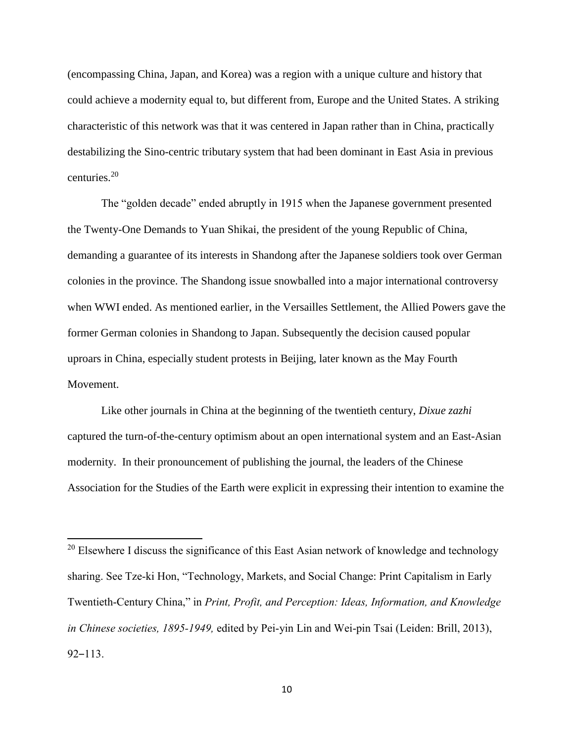(encompassing China, Japan, and Korea) was a region with a unique culture and history that could achieve a modernity equal to, but different from, Europe and the United States. A striking characteristic of this network was that it was centered in Japan rather than in China, practically destabilizing the Sino-centric tributary system that had been dominant in East Asia in previous centuries.<sup>20</sup>

The "golden decade" ended abruptly in 1915 when the Japanese government presented the Twenty-One Demands to Yuan Shikai, the president of the young Republic of China, demanding a guarantee of its interests in Shandong after the Japanese soldiers took over German colonies in the province. The Shandong issue snowballed into a major international controversy when WWI ended. As mentioned earlier, in the Versailles Settlement, the Allied Powers gave the former German colonies in Shandong to Japan. Subsequently the decision caused popular uproars in China, especially student protests in Beijing, later known as the May Fourth Movement.

Like other journals in China at the beginning of the twentieth century, *Dixue zazhi*  captured the turn-of-the-century optimism about an open international system and an East-Asian modernity. In their pronouncement of publishing the journal, the leaders of the Chinese Association for the Studies of the Earth were explicit in expressing their intention to examine the

 $20$  Elsewhere I discuss the significance of this East Asian network of knowledge and technology sharing. See Tze-ki Hon, "Technology, Markets, and Social Change: Print Capitalism in Early Twentieth-Century China," in *Print, Profit, and Perception: Ideas, Information, and Knowledge in Chinese societies, 1895-1949,* edited by Pei-yin Lin and Wei-pin Tsai (Leiden: Brill, 2013),  $92 - 113$ .

 $\overline{a}$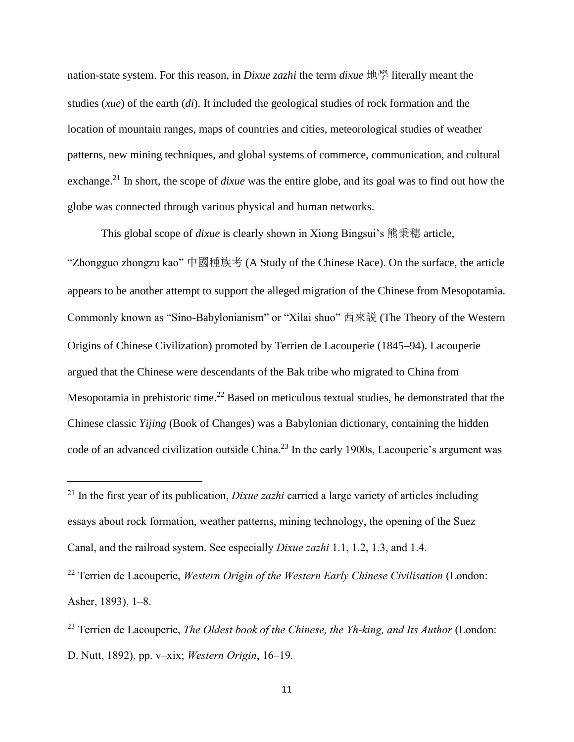nation-state system. For this reason, in *Dixue zazhi* the term *dixue* 地學 literally meant the studies (*xue*) of the earth (*di*). It included the geological studies of rock formation and the location of mountain ranges, maps of countries and cities, meteorological studies of weather patterns, new mining techniques, and global systems of commerce, communication, and cultural exchange.<sup>21</sup> In short, the scope of *dixue* was the entire globe, and its goal was to find out how the globe was connected through various physical and human networks.

This global scope of *dixue* is clearly shown in Xiong Bingsui's 熊秉穗 article, "Zhongguo zhongzu kao" 中國種族考 (A Study of the Chinese Race). On the surface, the article appears to be another attempt to support the alleged migration of the Chinese from Mesopotamia. Commonly known as "Sino-Babylonianism" or "Xilai shuo" 西來説 (The Theory of the Western Origins of Chinese Civilization) promoted by Terrien de Lacouperie (1845–94). Lacouperie argued that the Chinese were descendants of the Bak tribe who migrated to China from Mesopotamia in prehistoric time.<sup>22</sup> Based on meticulous textual studies, he demonstrated that the Chinese classic *Yijing* (Book of Changes) was a Babylonian dictionary, containing the hidden code of an advanced civilization outside China.<sup>23</sup> In the early 1900s, Lacouperie's argument was

 $\overline{\phantom{a}}$ 

<sup>22</sup> Terrien de Lacouperie, *Western Origin of the Western Early Chinese Civilisation* (London: Asher, 1893), 1–8.

<sup>21</sup> In the first year of its publication, *Dixue zazhi* carried a large variety of articles including essays about rock formation, weather patterns, mining technology, the opening of the Suez Canal, and the railroad system. See especially *Dixue zazhi* 1.1, 1.2, 1.3, and 1.4.

<sup>23</sup> Terrien de Lacouperie, *The Oldest book of the Chinese, the Yh-king, and Its Author* (London: D. Nutt, 1892), pp. v–xix; *Western Origin*, 16–19.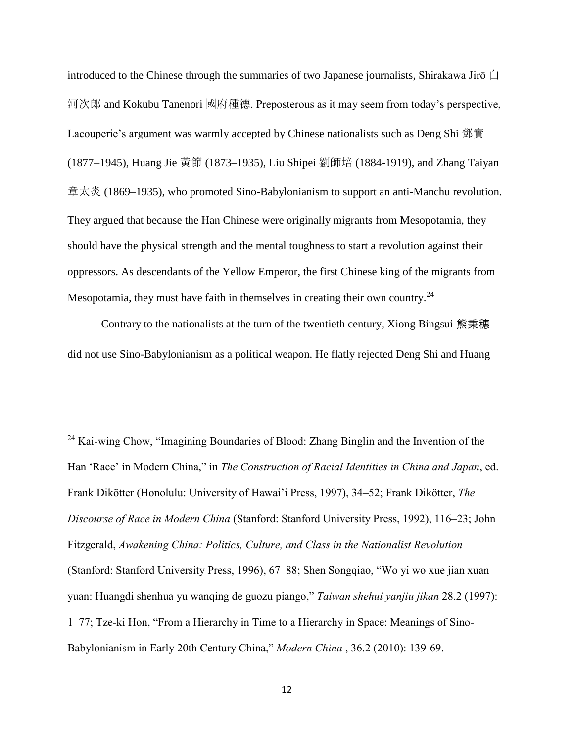introduced to the Chinese through the summaries of two Japanese journalists, Shirakawa Jirō  $\oplus$ 河次郎 and Kokubu Tanenori 國府種德. Preposterous as it may seem from today's perspective, Lacouperie's argument was warmly accepted by Chinese nationalists such as Deng Shi 鄧實 (1877−1945), Huang Jie 黃節 (1873–1935), Liu Shipei 劉師培 (1884-1919), and Zhang Taiyan 章太炎 (1869–1935), who promoted Sino-Babylonianism to support an anti-Manchu revolution. They argued that because the Han Chinese were originally migrants from Mesopotamia, they should have the physical strength and the mental toughness to start a revolution against their oppressors. As descendants of the Yellow Emperor, the first Chinese king of the migrants from Mesopotamia, they must have faith in themselves in creating their own country.<sup>24</sup>

Contrary to the nationalists at the turn of the twentieth century, Xiong Bingsui 熊秉穗 did not use Sino-Babylonianism as a political weapon. He flatly rejected Deng Shi and Huang

l

<sup>24</sup> Kai-wing Chow, "Imagining Boundaries of Blood: Zhang Binglin and the Invention of the Han 'Race' in Modern China," in *The Construction of Racial Identities in China and Japan*, ed. Frank Dikötter (Honolulu: University of Hawai'i Press, 1997), 34–52; Frank Dikötter, *The Discourse of Race in Modern China* (Stanford: Stanford University Press, 1992), 116–23; John Fitzgerald, *Awakening China: Politics, Culture, and Class in the Nationalist Revolution* (Stanford: Stanford University Press, 1996), 67–88; Shen Songqiao, "Wo yi wo xue jian xuan yuan: Huangdi shenhua yu wanqing de guozu piango," *Taiwan shehui yanjiu jikan* 28.2 (1997): 1–77; Tze-ki Hon, "From a Hierarchy in Time to a Hierarchy in Space: Meanings of Sino-Babylonianism in Early 20th Century China," *Modern China* , 36.2 (2010): 139-69.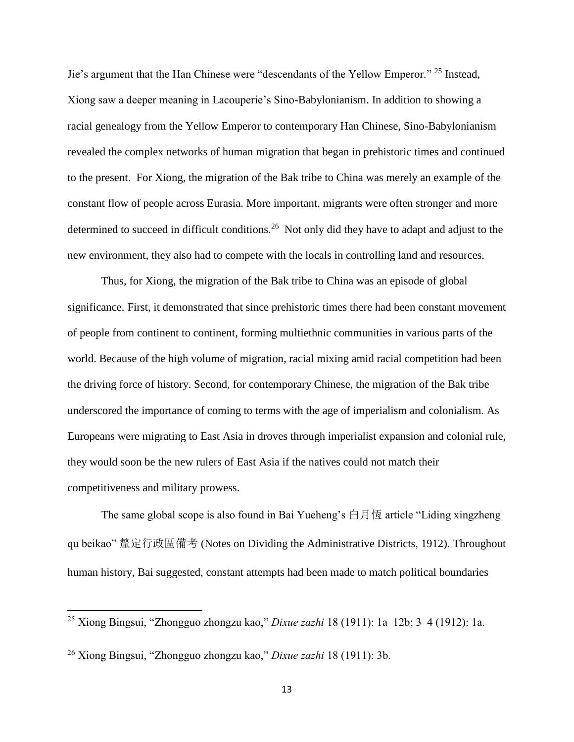Jie's argument that the Han Chinese were "descendants of the Yellow Emperor." <sup>25</sup> Instead, Xiong saw a deeper meaning in Lacouperie's Sino-Babylonianism. In addition to showing a racial genealogy from the Yellow Emperor to contemporary Han Chinese, Sino-Babylonianism revealed the complex networks of human migration that began in prehistoric times and continued to the present. For Xiong, the migration of the Bak tribe to China was merely an example of the constant flow of people across Eurasia. More important, migrants were often stronger and more determined to succeed in difficult conditions.<sup>26</sup> Not only did they have to adapt and adjust to the new environment, they also had to compete with the locals in controlling land and resources.

Thus, for Xiong, the migration of the Bak tribe to China was an episode of global significance. First, it demonstrated that since prehistoric times there had been constant movement of people from continent to continent, forming multiethnic communities in various parts of the world. Because of the high volume of migration, racial mixing amid racial competition had been the driving force of history. Second, for contemporary Chinese, the migration of the Bak tribe underscored the importance of coming to terms with the age of imperialism and colonialism. As Europeans were migrating to East Asia in droves through imperialist expansion and colonial rule, they would soon be the new rulers of East Asia if the natives could not match their competitiveness and military prowess.

The same global scope is also found in Bai Yueheng's 白月恆 article "Liding xingzheng qu beikao" 釐定行政區備考 (Notes on Dividing the Administrative Districts, 1912). Throughout human history, Bai suggested, constant attempts had been made to match political boundaries

<sup>25</sup> Xiong Bingsui, "Zhongguo zhongzu kao," *Dixue zazhi* 18 (1911): 1a–12b; 3–4 (1912): 1a.

<sup>26</sup> Xiong Bingsui, "Zhongguo zhongzu kao," *Dixue zazhi* 18 (1911): 3b.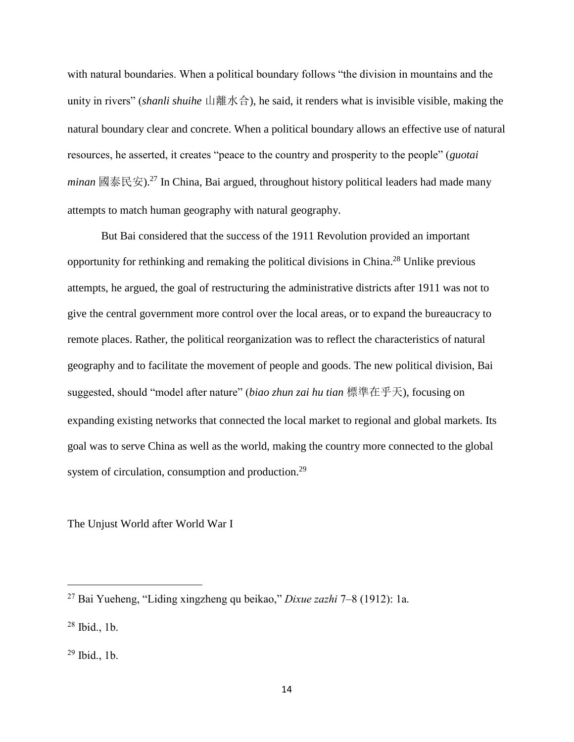with natural boundaries. When a political boundary follows "the division in mountains and the unity in rivers" (*shanli shuihe* 山離水合), he said, it renders what is invisible visible, making the natural boundary clear and concrete. When a political boundary allows an effective use of natural resources, he asserted, it creates "peace to the country and prosperity to the people" (*guotai minan* 國泰民安).<sup>27</sup> In China, Bai argued, throughout history political leaders had made many attempts to match human geography with natural geography.

But Bai considered that the success of the 1911 Revolution provided an important opportunity for rethinking and remaking the political divisions in China.<sup>28</sup> Unlike previous attempts, he argued, the goal of restructuring the administrative districts after 1911 was not to give the central government more control over the local areas, or to expand the bureaucracy to remote places. Rather, the political reorganization was to reflect the characteristics of natural geography and to facilitate the movement of people and goods. The new political division, Bai suggested, should "model after nature" (*biao zhun zai hu tian* 標準在乎天), focusing on expanding existing networks that connected the local market to regional and global markets. Its goal was to serve China as well as the world, making the country more connected to the global system of circulation, consumption and production.<sup>29</sup>

The Unjust World after World War I

<sup>27</sup> Bai Yueheng, "Liding xingzheng qu beikao," *Dixue zazhi* 7–8 (1912): 1a.

<sup>28</sup> Ibid., 1b.

 $29$  Ibid., 1b.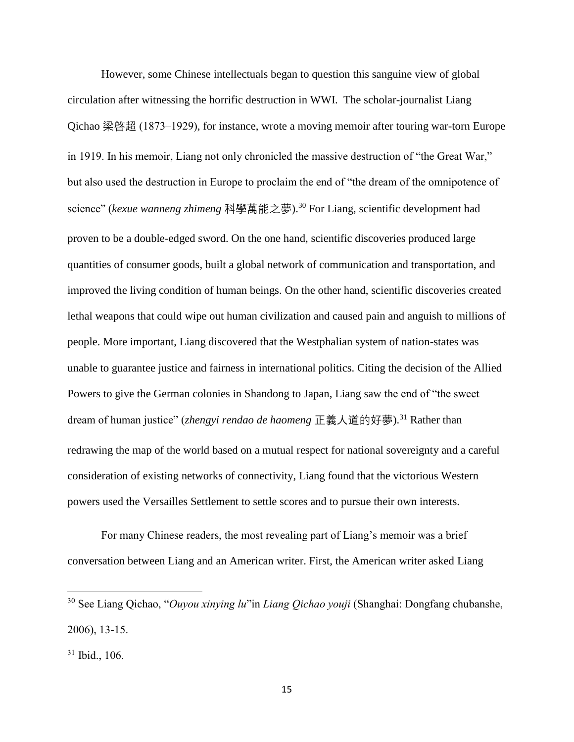However, some Chinese intellectuals began to question this sanguine view of global circulation after witnessing the horrific destruction in WWI. The scholar-journalist Liang Qichao 梁啓超 (1873–1929), for instance, wrote a moving memoir after touring war-torn Europe in 1919. In his memoir, Liang not only chronicled the massive destruction of "the Great War," but also used the destruction in Europe to proclaim the end of "the dream of the omnipotence of science" (*kexue wanneng zhimeng* 科學萬能之夢). <sup>30</sup> For Liang, scientific development had proven to be a double-edged sword. On the one hand, scientific discoveries produced large quantities of consumer goods, built a global network of communication and transportation, and improved the living condition of human beings. On the other hand, scientific discoveries created lethal weapons that could wipe out human civilization and caused pain and anguish to millions of people. More important, Liang discovered that the Westphalian system of nation-states was unable to guarantee justice and fairness in international politics. Citing the decision of the Allied Powers to give the German colonies in Shandong to Japan, Liang saw the end of "the sweet dream of human justice" (*zhengyi rendao de haomeng* 正義人道的好夢).<sup>31</sup> Rather than redrawing the map of the world based on a mutual respect for national sovereignty and a careful consideration of existing networks of connectivity, Liang found that the victorious Western powers used the Versailles Settlement to settle scores and to pursue their own interests.

For many Chinese readers, the most revealing part of Liang's memoir was a brief conversation between Liang and an American writer. First, the American writer asked Liang

<sup>30</sup> See Liang Qichao, "*Ouyou xinying lu*"in *Liang Qichao youji* (Shanghai: Dongfang chubanshe, 2006), 13-15.

<sup>31</sup> Ibid., 106.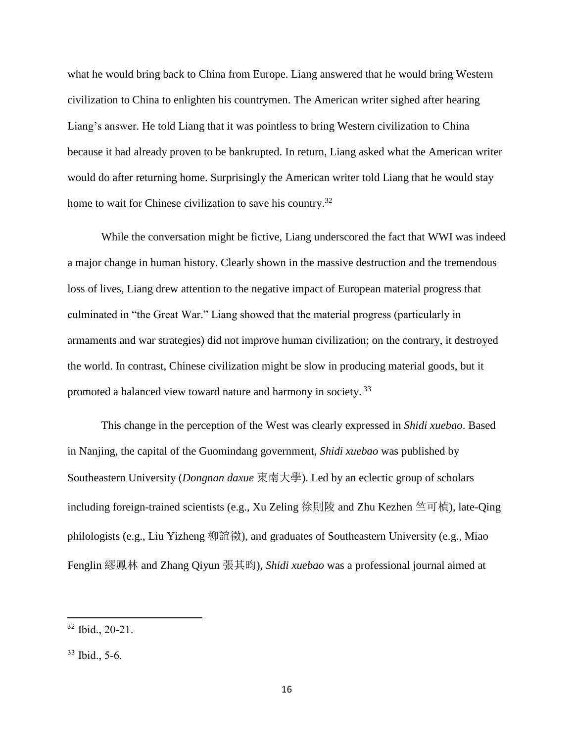what he would bring back to China from Europe. Liang answered that he would bring Western civilization to China to enlighten his countrymen. The American writer sighed after hearing Liang's answer. He told Liang that it was pointless to bring Western civilization to China because it had already proven to be bankrupted. In return, Liang asked what the American writer would do after returning home. Surprisingly the American writer told Liang that he would stay home to wait for Chinese civilization to save his country.<sup>32</sup>

While the conversation might be fictive, Liang underscored the fact that WWI was indeed a major change in human history. Clearly shown in the massive destruction and the tremendous loss of lives, Liang drew attention to the negative impact of European material progress that culminated in "the Great War." Liang showed that the material progress (particularly in armaments and war strategies) did not improve human civilization; on the contrary, it destroyed the world. In contrast, Chinese civilization might be slow in producing material goods, but it promoted a balanced view toward nature and harmony in society.<sup>33</sup>

This change in the perception of the West was clearly expressed in *Shidi xuebao*. Based in Nanjing, the capital of the Guomindang government, *Shidi xuebao* was published by Southeastern University (*Dongnan daxue* 東南大學). Led by an eclectic group of scholars including foreign-trained scientists (e.g., Xu Zeling 徐則陵 and Zhu Kezhen 竺可楨), late-Qing philologists (e.g., Liu Yizheng 柳誼徵), and graduates of Southeastern University (e.g., Miao Fenglin 繆鳳林 and Zhang Qiyun 張其昀), *Shidi xuebao* was a professional journal aimed at

l

<sup>32</sup> Ibid., 20-21.

<sup>33</sup> Ibid., 5-6.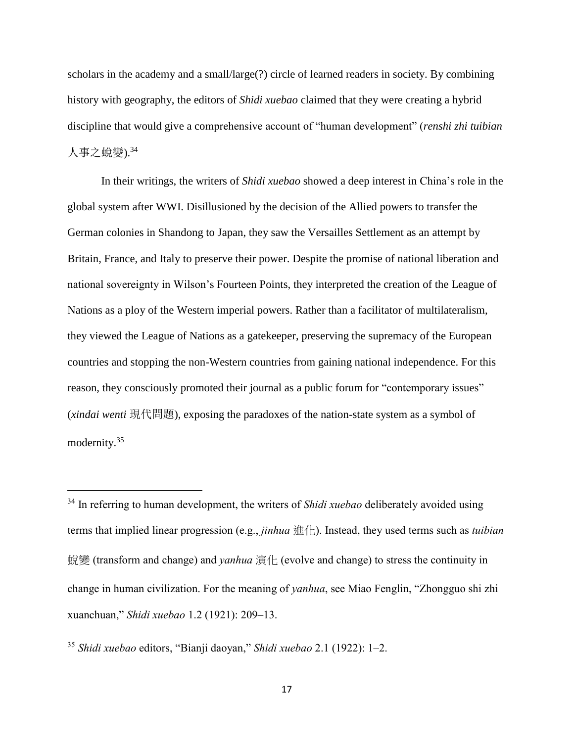scholars in the academy and a small/large(?) circle of learned readers in society. By combining history with geography, the editors of *Shidi xuebao* claimed that they were creating a hybrid discipline that would give a comprehensive account of "human development" (*renshi zhi tuibian* 人事之蛻變).<sup>34</sup>

In their writings, the writers of *Shidi xuebao* showed a deep interest in China's role in the global system after WWI. Disillusioned by the decision of the Allied powers to transfer the German colonies in Shandong to Japan, they saw the Versailles Settlement as an attempt by Britain, France, and Italy to preserve their power. Despite the promise of national liberation and national sovereignty in Wilson's Fourteen Points, they interpreted the creation of the League of Nations as a ploy of the Western imperial powers. Rather than a facilitator of multilateralism, they viewed the League of Nations as a gatekeeper, preserving the supremacy of the European countries and stopping the non-Western countries from gaining national independence. For this reason, they consciously promoted their journal as a public forum for "contemporary issues" (*xindai wenti* 現代問題), exposing the paradoxes of the nation-state system as a symbol of modernity.<sup>35</sup>

<sup>35</sup> *Shidi xuebao* editors, "Bianji daoyan," *Shidi xuebao* 2.1 (1922): 1–2.

<sup>34</sup> In referring to human development, the writers of *Shidi xuebao* deliberately avoided using terms that implied linear progression (e.g., *jinhua* 進化). Instead, they used terms such as *tuibian*  蛻變 (transform and change) and *yanhua* 演化 (evolve and change) to stress the continuity in change in human civilization. For the meaning of *yanhua*, see Miao Fenglin, "Zhongguo shi zhi xuanchuan," *Shidi xuebao* 1.2 (1921): 209–13.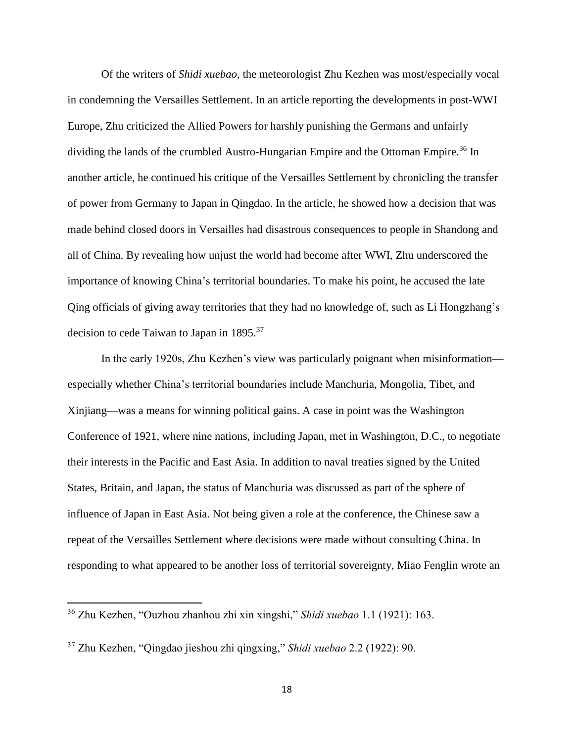Of the writers of *Shidi xuebao*, the meteorologist Zhu Kezhen was most/especially vocal in condemning the Versailles Settlement. In an article reporting the developments in post-WWI Europe, Zhu criticized the Allied Powers for harshly punishing the Germans and unfairly dividing the lands of the crumbled Austro-Hungarian Empire and the Ottoman Empire.<sup>36</sup> In another article, he continued his critique of the Versailles Settlement by chronicling the transfer of power from Germany to Japan in Qingdao. In the article, he showed how a decision that was made behind closed doors in Versailles had disastrous consequences to people in Shandong and all of China. By revealing how unjust the world had become after WWI, Zhu underscored the importance of knowing China's territorial boundaries. To make his point, he accused the late Qing officials of giving away territories that they had no knowledge of, such as Li Hongzhang's decision to cede Taiwan to Japan in 1895.<sup>37</sup>

In the early 1920s, Zhu Kezhen's view was particularly poignant when misinformation especially whether China's territorial boundaries include Manchuria, Mongolia, Tibet, and Xinjiang—was a means for winning political gains. A case in point was the Washington Conference of 1921, where nine nations, including Japan, met in Washington, D.C., to negotiate their interests in the Pacific and East Asia. In addition to naval treaties signed by the United States, Britain, and Japan, the status of Manchuria was discussed as part of the sphere of influence of Japan in East Asia. Not being given a role at the conference, the Chinese saw a repeat of the Versailles Settlement where decisions were made without consulting China. In responding to what appeared to be another loss of territorial sovereignty, Miao Fenglin wrote an

<sup>36</sup> Zhu Kezhen, "Ouzhou zhanhou zhi xin xingshi," *Shidi xuebao* 1.1 (1921): 163.

<sup>37</sup> Zhu Kezhen, "Qingdao jieshou zhi qingxing," *Shidi xuebao* 2.2 (1922): 90.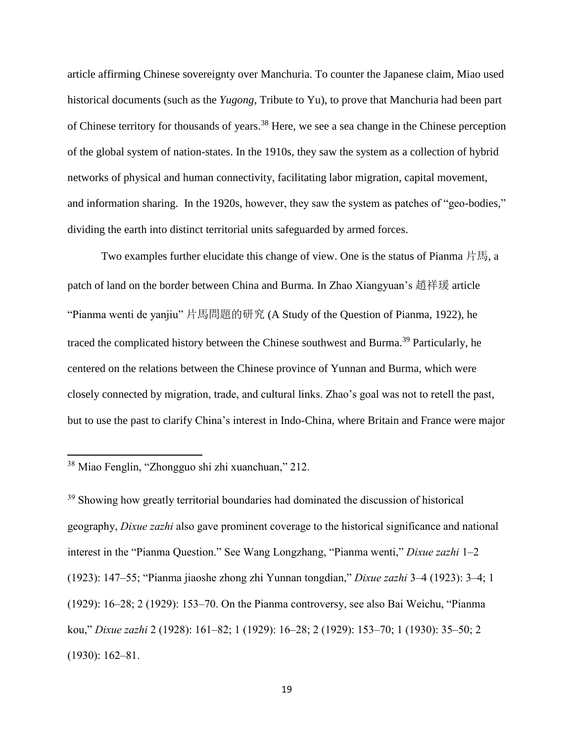article affirming Chinese sovereignty over Manchuria. To counter the Japanese claim, Miao used historical documents (such as the *Yugong,* Tribute to Yu), to prove that Manchuria had been part of Chinese territory for thousands of years.<sup>38</sup> Here, we see a sea change in the Chinese perception of the global system of nation-states. In the 1910s, they saw the system as a collection of hybrid networks of physical and human connectivity, facilitating labor migration, capital movement, and information sharing. In the 1920s, however, they saw the system as patches of "geo-bodies," dividing the earth into distinct territorial units safeguarded by armed forces.

Two examples further elucidate this change of view. One is the status of Pianma 片馬, a patch of land on the border between China and Burma. In Zhao Xiangyuan's 趙祥瑗 article "Pianma wenti de yanjiu" 片馬問題的研究 (A Study of the Question of Pianma, 1922), he traced the complicated history between the Chinese southwest and Burma. <sup>39</sup> Particularly, he centered on the relations between the Chinese province of Yunnan and Burma, which were closely connected by migration, trade, and cultural links. Zhao's goal was not to retell the past, but to use the past to clarify China's interest in Indo-China, where Britain and France were major

l

<sup>39</sup> Showing how greatly territorial boundaries had dominated the discussion of historical geography, *Dixue zazhi* also gave prominent coverage to the historical significance and national interest in the "Pianma Question." See Wang Longzhang, "Pianma wenti," *Dixue zazhi* 1–2 (1923): 147–55; "Pianma jiaoshe zhong zhi Yunnan tongdian," *Dixue zazhi* 3–4 (1923): 3–4; 1 (1929): 16–28; 2 (1929): 153–70. On the Pianma controversy, see also Bai Weichu, "Pianma kou," *Dixue zazhi* 2 (1928): 161–82; 1 (1929): 16–28; 2 (1929): 153–70; 1 (1930): 35–50; 2 (1930): 162–81.

<sup>38</sup> Miao Fenglin, "Zhongguo shi zhi xuanchuan," 212.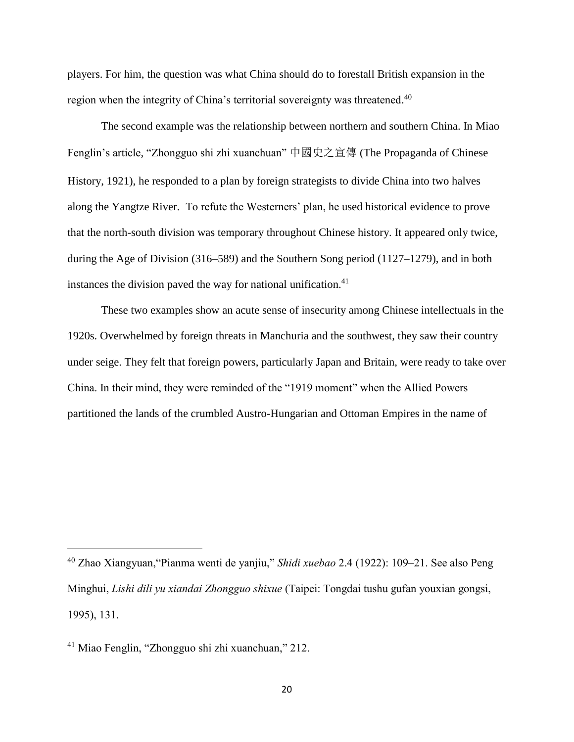players. For him, the question was what China should do to forestall British expansion in the region when the integrity of China's territorial sovereignty was threatened.<sup>40</sup>

The second example was the relationship between northern and southern China. In Miao Fenglin's article, "Zhongguo shi zhi xuanchuan" 中國史之宣傳 (The Propaganda of Chinese History, 1921), he responded to a plan by foreign strategists to divide China into two halves along the Yangtze River. To refute the Westerners' plan, he used historical evidence to prove that the north-south division was temporary throughout Chinese history. It appeared only twice, during the Age of Division (316–589) and the Southern Song period (1127–1279), and in both instances the division paved the way for national unification. $41$ 

These two examples show an acute sense of insecurity among Chinese intellectuals in the 1920s. Overwhelmed by foreign threats in Manchuria and the southwest, they saw their country under seige. They felt that foreign powers, particularly Japan and Britain, were ready to take over China. In their mind, they were reminded of the "1919 moment" when the Allied Powers partitioned the lands of the crumbled Austro-Hungarian and Ottoman Empires in the name of

<sup>40</sup> Zhao Xiangyuan,"Pianma wenti de yanjiu," *Shidi xuebao* 2.4 (1922): 109–21. See also Peng Minghui, *Lishi dili yu xiandai Zhongguo shixue* (Taipei: Tongdai tushu gufan youxian gongsi, 1995), 131.

<sup>41</sup> Miao Fenglin, "Zhongguo shi zhi xuanchuan," 212.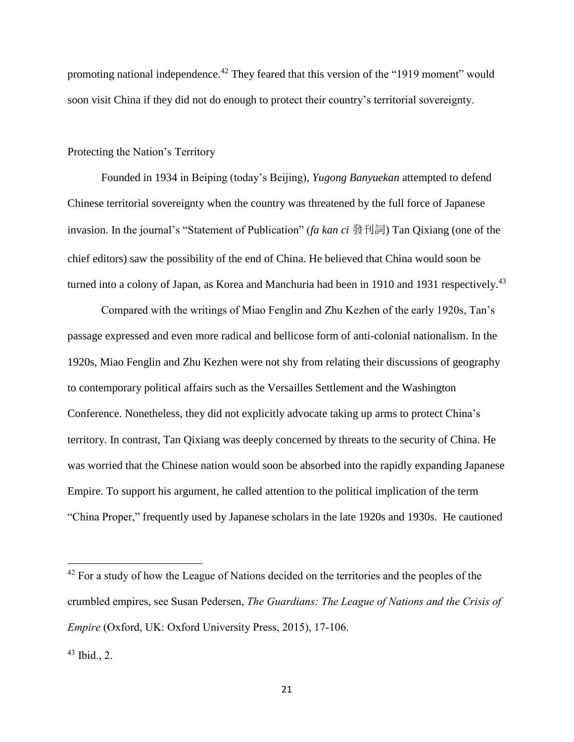promoting national independence.<sup> $42$ </sup> They feared that this version of the "1919 moment" would soon visit China if they did not do enough to protect their country's territorial sovereignty.

### Protecting the Nation's Territory

Founded in 1934 in Beiping (today's Beijing), *Yugong Banyuekan* attempted to defend Chinese territorial sovereignty when the country was threatened by the full force of Japanese invasion. In the journal's "Statement of Publication" (*fa kan ci* 發刊詞) Tan Qixiang (one of the chief editors) saw the possibility of the end of China. He believed that China would soon be turned into a colony of Japan, as Korea and Manchuria had been in 1910 and 1931 respectively.<sup>43</sup>

Compared with the writings of Miao Fenglin and Zhu Kezhen of the early 1920s, Tan's passage expressed and even more radical and bellicose form of anti-colonial nationalism. In the 1920s, Miao Fenglin and Zhu Kezhen were not shy from relating their discussions of geography to contemporary political affairs such as the Versailles Settlement and the Washington Conference. Nonetheless, they did not explicitly advocate taking up arms to protect China's territory. In contrast, Tan Qixiang was deeply concerned by threats to the security of China. He was worried that the Chinese nation would soon be absorbed into the rapidly expanding Japanese Empire. To support his argument, he called attention to the political implication of the term "China Proper," frequently used by Japanese scholars in the late 1920s and 1930s. He cautioned

 $42$  For a study of how the League of Nations decided on the territories and the peoples of the crumbled empires, see Susan Pedersen, *The Guardians: The League of Nations and the Crisis of Empire* (Oxford, UK: Oxford University Press, 2015), 17-106.

 $43$  Ibid., 2.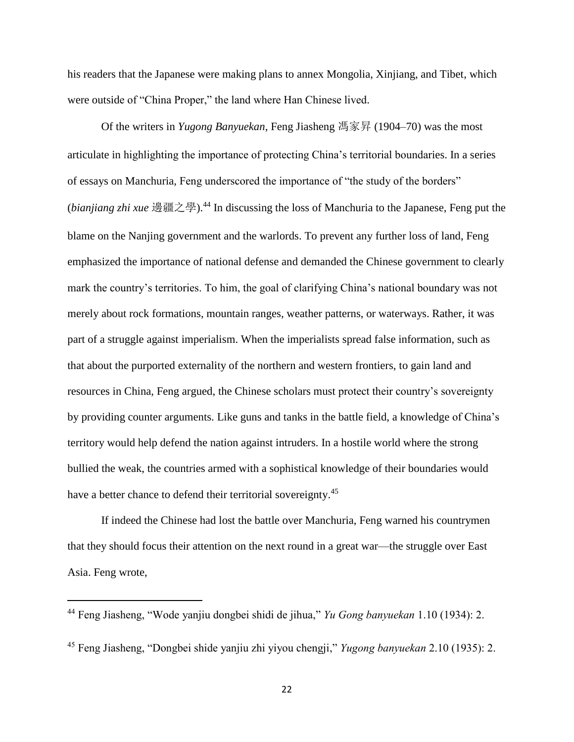his readers that the Japanese were making plans to annex Mongolia, Xinjiang, and Tibet, which were outside of "China Proper," the land where Han Chinese lived.

Of the writers in *Yugong Banyuekan*, Feng Jiasheng 馮家昇 (1904–70) was the most articulate in highlighting the importance of protecting China's territorial boundaries. In a series of essays on Manchuria, Feng underscored the importance of "the study of the borders" (*bianjiang zhi xue* 邊疆之學).<sup>44</sup> In discussing the loss of Manchuria to the Japanese, Feng put the blame on the Nanjing government and the warlords. To prevent any further loss of land, Feng emphasized the importance of national defense and demanded the Chinese government to clearly mark the country's territories. To him, the goal of clarifying China's national boundary was not merely about rock formations, mountain ranges, weather patterns, or waterways. Rather, it was part of a struggle against imperialism. When the imperialists spread false information, such as that about the purported externality of the northern and western frontiers, to gain land and resources in China, Feng argued, the Chinese scholars must protect their country's sovereignty by providing counter arguments. Like guns and tanks in the battle field, a knowledge of China's territory would help defend the nation against intruders. In a hostile world where the strong bullied the weak, the countries armed with a sophistical knowledge of their boundaries would have a better chance to defend their territorial sovereignty.<sup>45</sup>

If indeed the Chinese had lost the battle over Manchuria, Feng warned his countrymen that they should focus their attention on the next round in a great war—the struggle over East Asia. Feng wrote,

 $\overline{a}$ 

<sup>44</sup> Feng Jiasheng, "Wode yanjiu dongbei shidi de jihua," *Yu Gong banyuekan* 1.10 (1934): 2.

<sup>45</sup> Feng Jiasheng, "Dongbei shide yanjiu zhi yiyou chengji," *Yugong banyuekan* 2.10 (1935): 2.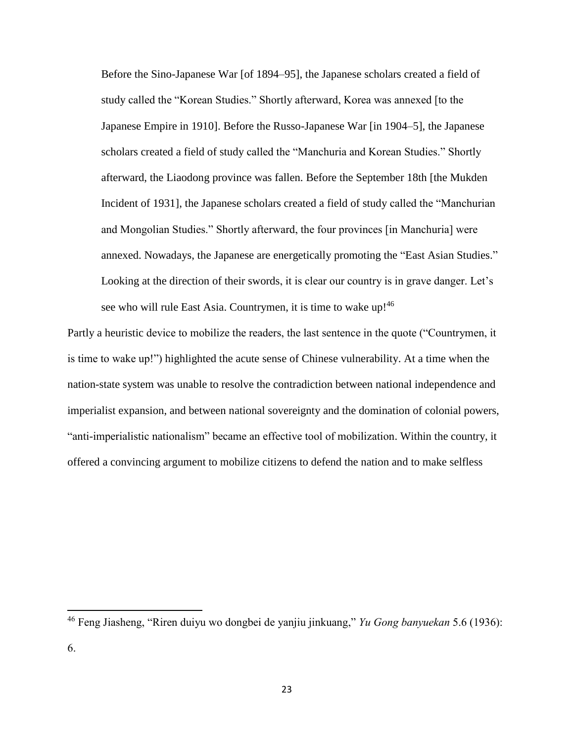Before the Sino-Japanese War [of 1894–95], the Japanese scholars created a field of study called the "Korean Studies." Shortly afterward, Korea was annexed [to the Japanese Empire in 1910]. Before the Russo-Japanese War [in 1904–5], the Japanese scholars created a field of study called the "Manchuria and Korean Studies." Shortly afterward, the Liaodong province was fallen. Before the September 18th [the Mukden Incident of 1931], the Japanese scholars created a field of study called the "Manchurian and Mongolian Studies." Shortly afterward, the four provinces [in Manchuria] were annexed. Nowadays, the Japanese are energetically promoting the "East Asian Studies." Looking at the direction of their swords, it is clear our country is in grave danger. Let's see who will rule East Asia. Countrymen, it is time to wake up!<sup>46</sup>

Partly a heuristic device to mobilize the readers, the last sentence in the quote ("Countrymen, it is time to wake up!") highlighted the acute sense of Chinese vulnerability. At a time when the nation-state system was unable to resolve the contradiction between national independence and imperialist expansion, and between national sovereignty and the domination of colonial powers, "anti-imperialistic nationalism" became an effective tool of mobilization. Within the country, it offered a convincing argument to mobilize citizens to defend the nation and to make selfless

<sup>46</sup> Feng Jiasheng, "Riren duiyu wo dongbei de yanjiu jinkuang," *Yu Gong banyuekan* 5.6 (1936): 6.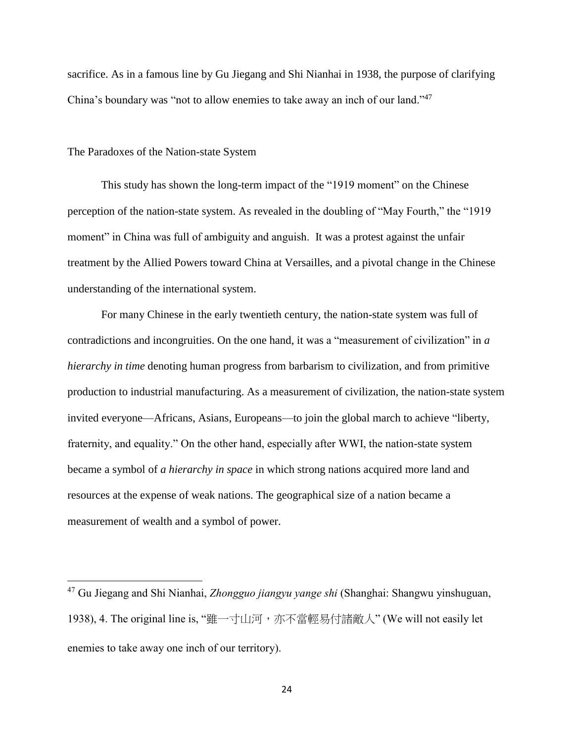sacrifice. As in a famous line by Gu Jiegang and Shi Nianhai in 1938, the purpose of clarifying China's boundary was "not to allow enemies to take away an inch of our land."<sup>47</sup>

#### The Paradoxes of the Nation-state System

 $\overline{\phantom{a}}$ 

This study has shown the long-term impact of the "1919 moment" on the Chinese perception of the nation-state system. As revealed in the doubling of "May Fourth," the "1919 moment" in China was full of ambiguity and anguish. It was a protest against the unfair treatment by the Allied Powers toward China at Versailles, and a pivotal change in the Chinese understanding of the international system.

For many Chinese in the early twentieth century, the nation-state system was full of contradictions and incongruities. On the one hand, it was a "measurement of civilization" in *a hierarchy in time* denoting human progress from barbarism to civilization, and from primitive production to industrial manufacturing. As a measurement of civilization, the nation-state system invited everyone—Africans, Asians, Europeans—to join the global march to achieve "liberty, fraternity, and equality." On the other hand, especially after WWI, the nation-state system became a symbol of *a hierarchy in space* in which strong nations acquired more land and resources at the expense of weak nations. The geographical size of a nation became a measurement of wealth and a symbol of power.

<sup>47</sup> Gu Jiegang and Shi Nianhai, *Zhongguo jiangyu yange shi* (Shanghai: Shangwu yinshuguan, 1938), 4. The original line is, "雖一寸山河,亦不當輕易付諸敵人" (We will not easily let enemies to take away one inch of our territory).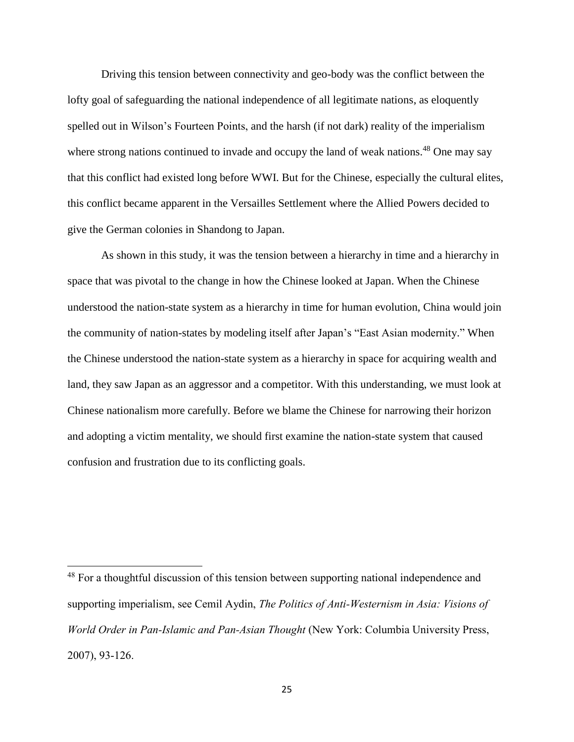Driving this tension between connectivity and geo-body was the conflict between the lofty goal of safeguarding the national independence of all legitimate nations, as eloquently spelled out in Wilson's Fourteen Points, and the harsh (if not dark) reality of the imperialism where strong nations continued to invade and occupy the land of weak nations.<sup>48</sup> One may say that this conflict had existed long before WWI. But for the Chinese, especially the cultural elites, this conflict became apparent in the Versailles Settlement where the Allied Powers decided to give the German colonies in Shandong to Japan.

As shown in this study, it was the tension between a hierarchy in time and a hierarchy in space that was pivotal to the change in how the Chinese looked at Japan. When the Chinese understood the nation-state system as a hierarchy in time for human evolution, China would join the community of nation-states by modeling itself after Japan's "East Asian modernity." When the Chinese understood the nation-state system as a hierarchy in space for acquiring wealth and land, they saw Japan as an aggressor and a competitor. With this understanding, we must look at Chinese nationalism more carefully. Before we blame the Chinese for narrowing their horizon and adopting a victim mentality, we should first examine the nation-state system that caused confusion and frustration due to its conflicting goals.

 $\overline{a}$ 

 $48$  For a thoughtful discussion of this tension between supporting national independence and supporting imperialism, see Cemil Aydin, *The Politics of Anti-Westernism in Asia: Visions of World Order in Pan-Islamic and Pan-Asian Thought* (New York: Columbia University Press, 2007), 93-126.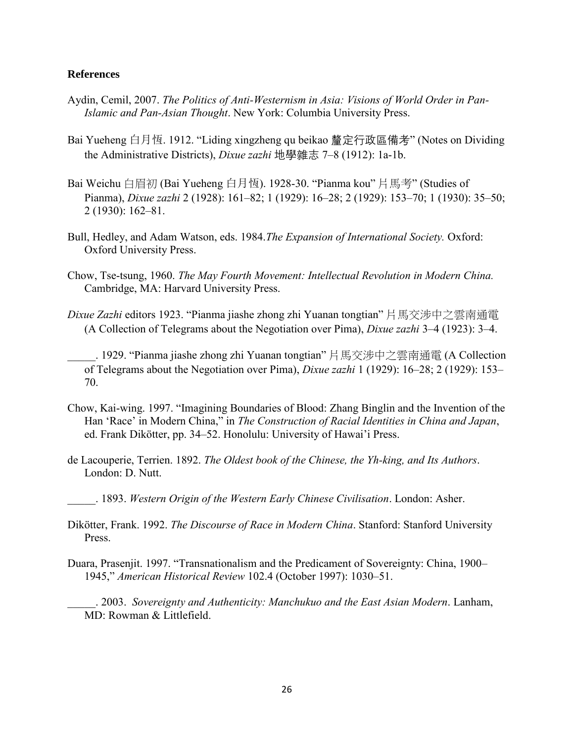## **References**

- Aydin, Cemil, 2007. *The Politics of Anti-Westernism in Asia: Visions of World Order in Pan-Islamic and Pan-Asian Thought*. New York: Columbia University Press.
- Bai Yueheng 白月恆. 1912. "Liding xingzheng qu beikao 釐定行政區備考" (Notes on Dividing the Administrative Districts), *Dixue zazhi* 地學雜志 7–8 (1912): 1a-1b.
- Bai Weichu 白眉初 (Bai Yueheng 白月恆). 1928-30. "Pianma kou" 片馬考" (Studies of Pianma), *Dixue zazhi* 2 (1928): 161–82; 1 (1929): 16–28; 2 (1929): 153–70; 1 (1930): 35–50; 2 (1930): 162–81.
- Bull, Hedley, and Adam Watson, eds. 1984.*The Expansion of International Society.* Oxford: Oxford University Press.
- Chow, Tse-tsung, 1960. *The May Fourth Movement: Intellectual Revolution in Modern China.*  Cambridge, MA: Harvard University Press.
- *Dixue Zazhi* editors 1923. "Pianma jiashe zhong zhi Yuanan tongtian" 片馬交涉中之雲南通電 (A Collection of Telegrams about the Negotiation over Pima), *Dixue zazhi* 3–4 (1923): 3–4.

\_\_\_\_\_. 1929. "Pianma jiashe zhong zhi Yuanan tongtian" 片馬交涉中之雲南通電 (A Collection of Telegrams about the Negotiation over Pima), *Dixue zazhi* 1 (1929): 16–28; 2 (1929): 153– 70.

- Chow, Kai-wing. 1997. "Imagining Boundaries of Blood: Zhang Binglin and the Invention of the Han 'Race' in Modern China," in *The Construction of Racial Identities in China and Japan*, ed. Frank Dikötter, pp. 34–52. Honolulu: University of Hawai'i Press.
- de Lacouperie, Terrien. 1892. *The Oldest book of the Chinese, the Yh-king, and Its Authors*. London: D. Nutt.
- \_\_\_\_\_. 1893. *Western Origin of the Western Early Chinese Civilisation*. London: Asher.
- Dikötter, Frank. 1992. *The Discourse of Race in Modern China*. Stanford: Stanford University Press.
- Duara, Prasenjit. 1997. "Transnationalism and the Predicament of Sovereignty: China, 1900– 1945," *American Historical Review* 102.4 (October 1997): 1030–51.
	- \_\_\_\_\_. 2003. *Sovereignty and Authenticity: Manchukuo and the East Asian Modern*. Lanham, MD: Rowman & Littlefield.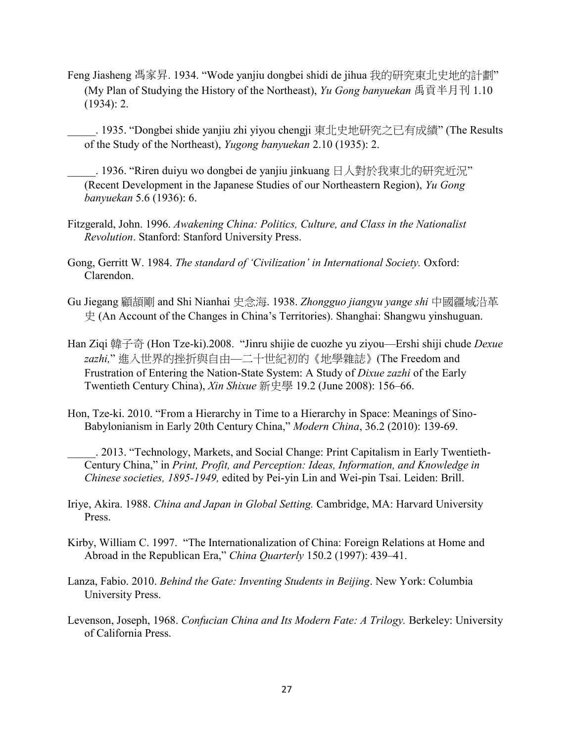Feng Jiasheng 馮家昇. 1934. "Wode yanjiu dongbei shidi de jihua 我的研究東北史地的計劃" (My Plan of Studying the History of the Northeast), *Yu Gong banyuekan* 禹貢半月刊 1.10 (1934): 2.

\_\_\_\_\_. 1935. "Dongbei shide yanjiu zhi yiyou chengji 東北史地研究之已有成績" (The Results of the Study of the Northeast), *Yugong banyuekan* 2.10 (1935): 2.

\_\_\_\_\_. 1936. "Riren duiyu wo dongbei de yanjiu jinkuang 日人對於我東北的研究近況" (Recent Development in the Japanese Studies of our Northeastern Region), *Yu Gong banyuekan* 5.6 (1936): 6.

- Fitzgerald, John. 1996. *Awakening China: Politics, Culture, and Class in the Nationalist Revolution*. Stanford: Stanford University Press.
- Gong, Gerritt W. 1984. *The standard of 'Civilization' in International Society.* Oxford: Clarendon.
- Gu Jiegang 顧頡剛 and Shi Nianhai 史念海. 1938. *Zhongguo jiangyu yange shi* 中國疆域沿革 史 (An Account of the Changes in China's Territories). Shanghai: Shangwu yinshuguan.
- Han Ziqi 韓子奇 (Hon Tze-ki).2008. "Jinru shijie de cuozhe yu ziyou—Ershi shiji chude *Dexue zazhi,*" 進入世界的挫折與自由—二十世紀初的《地學雜誌》(The Freedom and Frustration of Entering the Nation-State System: A Study of *Dixue zazhi* of the Early Twentieth Century China), *Xin Shixue* 新史學 19.2 (June 2008): 156–66.
- Hon, Tze-ki. 2010. "From a Hierarchy in Time to a Hierarchy in Space: Meanings of Sino-Babylonianism in Early 20th Century China," *Modern China*, 36.2 (2010): 139-69.
	- \_\_\_\_\_. 2013. "Technology, Markets, and Social Change: Print Capitalism in Early Twentieth-Century China," in *Print, Profit, and Perception: Ideas, Information, and Knowledge in Chinese societies, 1895-1949,* edited by Pei-yin Lin and Wei-pin Tsai. Leiden: Brill.
- Iriye, Akira. 1988. *China and Japan in Global Setting.* Cambridge, MA: Harvard University Press.
- Kirby, William C. 1997. "The Internationalization of China: Foreign Relations at Home and Abroad in the Republican Era," *China Quarterly* 150.2 (1997): 439–41.
- Lanza, Fabio. 2010. *Behind the Gate: Inventing Students in Beijing*. New York: Columbia University Press.
- Levenson, Joseph, 1968. *Confucian China and Its Modern Fate: A Trilogy.* Berkeley: University of California Press.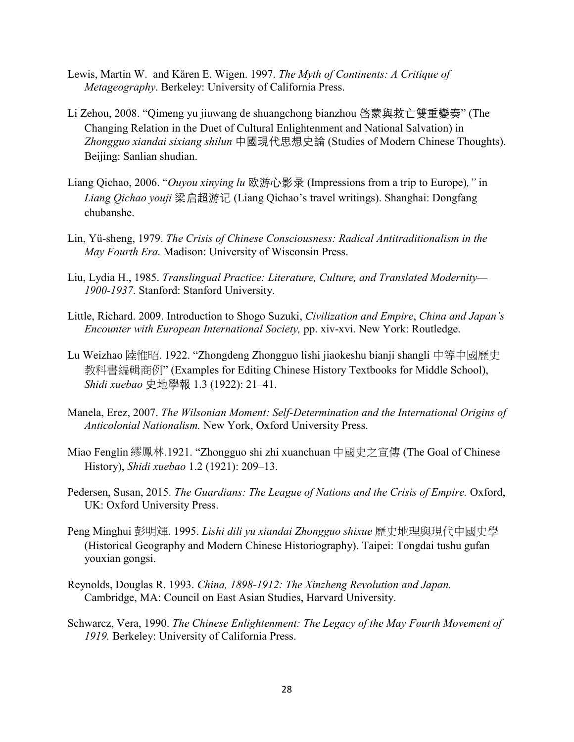- Lewis, Martin W. and Kären E. Wigen. 1997. *The Myth of Continents: A Critique of Metageography*. Berkeley: University of California Press.
- Li Zehou, 2008. "Qimeng yu jiuwang de shuangchong bianzhou 啓蒙與救亡雙重變奏" (The Changing Relation in the Duet of Cultural Enlightenment and National Salvation) in *Zhongguo xiandai sixiang shilun* 中國現代思想史論 (Studies of Modern Chinese Thoughts). Beijing: Sanlian shudian.
- Liang Qichao, 2006. "*Ouyou xinying lu* 欧游心影录 (Impressions from a trip to Europe)*,"* in *Liang Qichao youji* 梁启超游记 (Liang Qichao's travel writings). Shanghai: Dongfang chubanshe.
- Lin, Yü-sheng, 1979. *The Crisis of Chinese Consciousness: Radical Antitraditionalism in the May Fourth Era.* Madison: University of Wisconsin Press.
- Liu, Lydia H., 1985. *Translingual Practice: Literature, Culture, and Translated Modernity— 1900-1937*. Stanford: Stanford University.
- Little, Richard. 2009. Introduction to Shogo Suzuki, *Civilization and Empire*, *China and Japan's Encounter with European International Society,* pp. xiv-xvi. New York: Routledge.
- Lu Weizhao 陸惟昭. 1922. "Zhongdeng Zhongguo lishi jiaokeshu bianji shangli 中等中國歷史 教科書編輯商例" (Examples for Editing Chinese History Textbooks for Middle School), *Shidi xuebao* 史地學報 1.3 (1922): 21–41.
- Manela, Erez, 2007. *The Wilsonian Moment: Self-Determination and the International Origins of Anticolonial Nationalism.* New York, Oxford University Press.
- Miao Fenglin 繆鳳林.1921. "Zhongguo shi zhi xuanchuan 中國史之宣傳 (The Goal of Chinese History), *Shidi xuebao* 1.2 (1921): 209–13.
- Pedersen, Susan, 2015. *The Guardians: The League of Nations and the Crisis of Empire.* Oxford, UK: Oxford University Press.
- Peng Minghui 彭明輝. 1995. *Lishi dili yu xiandai Zhongguo shixue* 歷史地理與現代中國史學 (Historical Geography and Modern Chinese Historiography). Taipei: Tongdai tushu gufan youxian gongsi.
- Reynolds, Douglas R. 1993. *China, 1898-1912: The Xinzheng Revolution and Japan.*  Cambridge, MA: Council on East Asian Studies, Harvard University.
- Schwarcz, Vera, 1990. *The Chinese Enlightenment: The Legacy of the May Fourth Movement of 1919.* Berkeley: University of California Press.